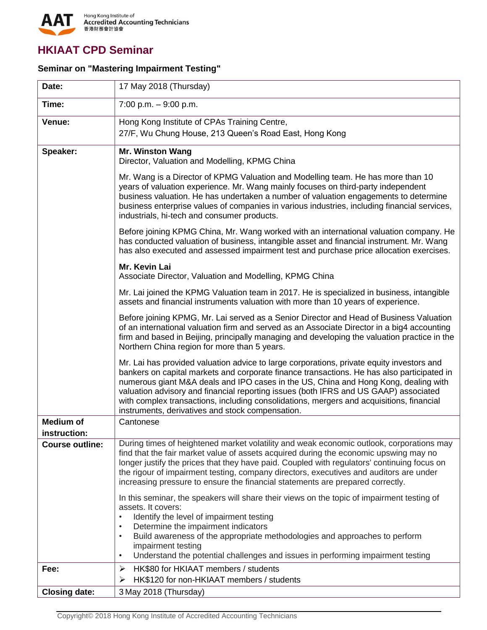

## **HKIAAT CPD Seminar**

## **Seminar on "Mastering Impairment Testing"**

| Date:                            | 17 May 2018 (Thursday)                                                                                                                                                                                                                                                                                                                                                                                                                                                                                                 |  |
|----------------------------------|------------------------------------------------------------------------------------------------------------------------------------------------------------------------------------------------------------------------------------------------------------------------------------------------------------------------------------------------------------------------------------------------------------------------------------------------------------------------------------------------------------------------|--|
| Time:                            | 7:00 p.m. $-9:00$ p.m.                                                                                                                                                                                                                                                                                                                                                                                                                                                                                                 |  |
| Venue:                           | Hong Kong Institute of CPAs Training Centre,<br>27/F, Wu Chung House, 213 Queen's Road East, Hong Kong                                                                                                                                                                                                                                                                                                                                                                                                                 |  |
| Speaker:                         | <b>Mr. Winston Wang</b><br>Director, Valuation and Modelling, KPMG China                                                                                                                                                                                                                                                                                                                                                                                                                                               |  |
|                                  | Mr. Wang is a Director of KPMG Valuation and Modelling team. He has more than 10<br>years of valuation experience. Mr. Wang mainly focuses on third-party independent<br>business valuation. He has undertaken a number of valuation engagements to determine<br>business enterprise values of companies in various industries, including financial services,<br>industrials, hi-tech and consumer products.                                                                                                           |  |
|                                  | Before joining KPMG China, Mr. Wang worked with an international valuation company. He<br>has conducted valuation of business, intangible asset and financial instrument. Mr. Wang<br>has also executed and assessed impairment test and purchase price allocation exercises.                                                                                                                                                                                                                                          |  |
|                                  | Mr. Kevin Lai<br>Associate Director, Valuation and Modelling, KPMG China                                                                                                                                                                                                                                                                                                                                                                                                                                               |  |
|                                  | Mr. Lai joined the KPMG Valuation team in 2017. He is specialized in business, intangible<br>assets and financial instruments valuation with more than 10 years of experience.                                                                                                                                                                                                                                                                                                                                         |  |
|                                  | Before joining KPMG, Mr. Lai served as a Senior Director and Head of Business Valuation<br>of an international valuation firm and served as an Associate Director in a big4 accounting<br>firm and based in Beijing, principally managing and developing the valuation practice in the<br>Northern China region for more than 5 years.                                                                                                                                                                                 |  |
|                                  | Mr. Lai has provided valuation advice to large corporations, private equity investors and<br>bankers on capital markets and corporate finance transactions. He has also participated in<br>numerous giant M&A deals and IPO cases in the US, China and Hong Kong, dealing with<br>valuation advisory and financial reporting issues (both IFRS and US GAAP) associated<br>with complex transactions, including consolidations, mergers and acquisitions, financial<br>instruments, derivatives and stock compensation. |  |
| <b>Medium of</b><br>instruction: | Cantonese                                                                                                                                                                                                                                                                                                                                                                                                                                                                                                              |  |
| <b>Course outline:</b>           | During times of heightened market volatility and weak economic outlook, corporations may<br>find that the fair market value of assets acquired during the economic upswing may no<br>longer justify the prices that they have paid. Coupled with regulators' continuing focus on<br>the rigour of impairment testing, company directors, executives and auditors are under<br>increasing pressure to ensure the financial statements are prepared correctly.                                                           |  |
|                                  | In this seminar, the speakers will share their views on the topic of impairment testing of<br>assets. It covers:<br>Identify the level of impairment testing<br>Determine the impairment indicators<br>Build awareness of the appropriate methodologies and approaches to perform<br>$\bullet$<br>impairment testing<br>Understand the potential challenges and issues in performing impairment testing<br>$\bullet$                                                                                                   |  |
| Fee:                             | HK\$80 for HKIAAT members / students<br>➤<br>HK\$120 for non-HKIAAT members / students<br>➤                                                                                                                                                                                                                                                                                                                                                                                                                            |  |
| <b>Closing date:</b>             | 3 May 2018 (Thursday)                                                                                                                                                                                                                                                                                                                                                                                                                                                                                                  |  |